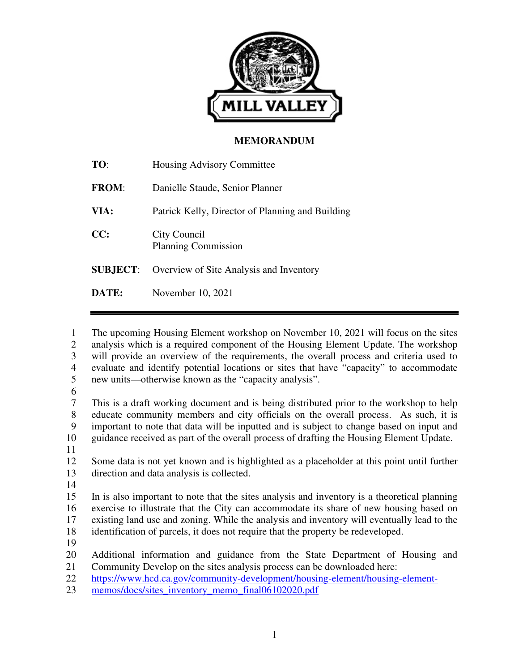

#### **MEMORANDUM**

| TO:             | Housing Advisory Committee                       |
|-----------------|--------------------------------------------------|
| <b>FROM:</b>    | Danielle Staude, Senior Planner                  |
| VIA:            | Patrick Kelly, Director of Planning and Building |
| CC:             | City Council<br><b>Planning Commission</b>       |
| <b>SUBJECT:</b> | Overview of Site Analysis and Inventory          |
| DATE:           | November 10, 2021                                |

1 The upcoming Housing Element workshop on November 10, 2021 will focus on the sites 2 analysis which is a required component of the Housing Element Update. The workshop 3 will provide an overview of the requirements, the overall process and criteria used to 4 evaluate and identify potential locations or sites that have "capacity" to accommodate 5 new units—otherwise known as the "capacity analysis".

6

7 This is a draft working document and is being distributed prior to the workshop to help 8 educate community members and city officials on the overall process. As such, it is 9 important to note that data will be inputted and is subject to change based on input and 10 guidance received as part of the overall process of drafting the Housing Element Update.

11

12 Some data is not yet known and is highlighted as a placeholder at this point until further 13 direction and data analysis is collected.

14

15 In is also important to note that the sites analysis and inventory is a theoretical planning 16 exercise to illustrate that the City can accommodate its share of new housing based on 17 existing land use and zoning. While the analysis and inventory will eventually lead to the 18 identification of parcels, it does not require that the property be redeveloped.

19

20 Additional information and guidance from the State Department of Housing and 21 Community Develop on the sites analysis process can be downloaded here:

22 https://www.hcd.ca.gov/community-development/housing-element/housing-element-

23 memos/docs/sites\_inventory\_memo\_final06102020.pdf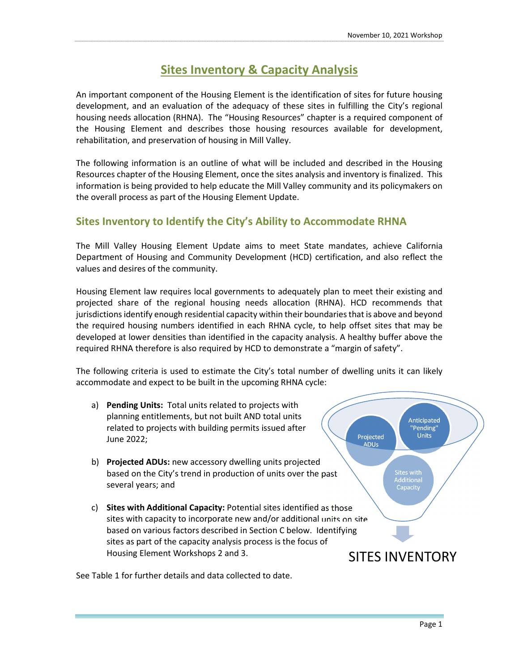# **Sites Inventory & Capacity Analysis**

An important component of the Housing Element is the identification of sites for future housing development, and an evaluation of the adequacy of these sites in fulfilling the City's regional housing needs allocation (RHNA). The "Housing Resources" chapter is a required component of the Housing Element and describes those housing resources available for development, rehabilitation, and preservation of housing in Mill Valley.

The following information is an outline of what will be included and described in the Housing Resources chapter of the Housing Element, once the sites analysis and inventory is finalized. This information is being provided to help educate the Mill Valley community and its policymakers on the overall process as part of the Housing Element Update.

## **Sites Inventory to Identify the City's Ability to Accommodate RHNA**

The Mill Valley Housing Element Update aims to meet State mandates, achieve California Department of Housing and Community Development (HCD) certification, and also reflect the values and desires of the community.

Housing Element law requires local governments to adequately plan to meet their existing and projected share of the regional housing needs allocation (RHNA). HCD recommends that jurisdictions identify enough residential capacity within their boundaries that is above and beyond the required housing numbers identified in each RHNA cycle, to help offset sites that may be developed at lower densities than identified in the capacity analysis. A healthy buffer above the required RHNA therefore is also required by HCD to demonstrate a "margin of safety".

The following criteria is used to estimate the City's total number of dwelling units it can likely accommodate and expect to be built in the upcoming RHNA cycle:

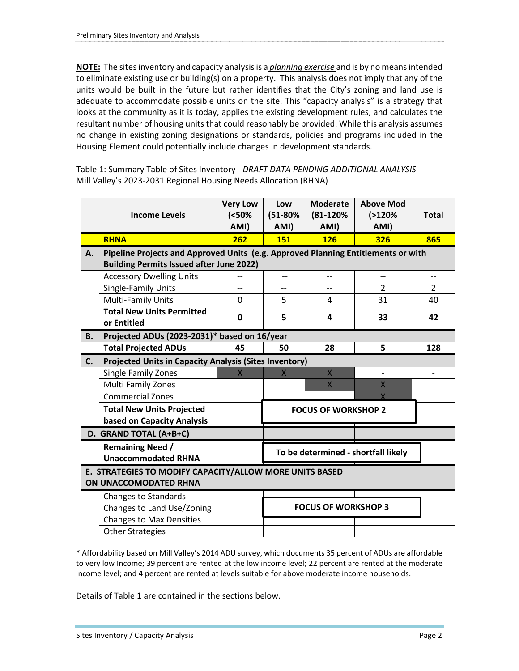**NOTE:** The sites inventory and capacity analysis is a *planning exercise* and is by no means intended to eliminate existing use or building(s) on a property. This analysis does not imply that any of the units would be built in the future but rather identifies that the City's zoning and land use is adequate to accommodate possible units on the site. This "capacity analysis" is a strategy that looks at the community as it is today, applies the existing development rules, and calculates the resultant number of housing units that could reasonably be provided. While this analysis assumes no change in existing zoning designations or standards, policies and programs included in the Housing Element could potentially include changes in development standards.

Table 1: Summary Table of Sites Inventory - *DRAFT DATA PENDING ADDITIONAL ANALYSIS* Mill Valley's 2023-2031 Regional Housing Needs Allocation (RHNA)

|                                                                                  | <b>Income Levels</b>                                                                                                                 | <b>Very Low</b><br>(50%<br>AMI) | Low<br>$(51 - 80\%$<br>AMI)         | <b>Moderate</b><br>$(81 - 120\%)$<br>AMI) | <b>Above Mod</b><br>(2120%<br>AMI) | <b>Total</b>   |  |
|----------------------------------------------------------------------------------|--------------------------------------------------------------------------------------------------------------------------------------|---------------------------------|-------------------------------------|-------------------------------------------|------------------------------------|----------------|--|
|                                                                                  | <b>RHNA</b>                                                                                                                          | 262                             | <b>151</b>                          | <b>126</b>                                | 326                                | 865            |  |
| Α.                                                                               | Pipeline Projects and Approved Units (e.g. Approved Planning Entitlements or with<br><b>Building Permits Issued after June 2022)</b> |                                 |                                     |                                           |                                    |                |  |
|                                                                                  | <b>Accessory Dwelling Units</b>                                                                                                      |                                 |                                     |                                           |                                    |                |  |
|                                                                                  | Single-Family Units                                                                                                                  | $\overline{a}$                  | $-$                                 | $-$                                       | $\overline{2}$                     | $\overline{2}$ |  |
|                                                                                  | Multi-Family Units                                                                                                                   | $\Omega$                        | 5                                   | 4                                         | 31                                 | 40             |  |
|                                                                                  | <b>Total New Units Permitted</b><br>or Entitled                                                                                      | 0                               | 5                                   | 4                                         | 33                                 | 42             |  |
| <b>B.</b>                                                                        | Projected ADUs (2023-2031)* based on 16/year                                                                                         |                                 |                                     |                                           |                                    |                |  |
|                                                                                  | <b>Total Projected ADUs</b>                                                                                                          | 45                              | 50                                  | 28                                        | 5                                  | 128            |  |
| C.                                                                               | <b>Projected Units in Capacity Analysis (Sites Inventory)</b>                                                                        |                                 |                                     |                                           |                                    |                |  |
|                                                                                  | Single Family Zones                                                                                                                  | $\overline{\mathsf{X}}$         | $\mathsf{X}$                        | $\overline{X}$                            |                                    |                |  |
|                                                                                  | Multi Family Zones                                                                                                                   |                                 |                                     | X                                         | $\overline{X}$                     |                |  |
|                                                                                  | <b>Commercial Zones</b>                                                                                                              |                                 |                                     |                                           |                                    |                |  |
|                                                                                  | <b>Total New Units Projected</b><br>based on Capacity Analysis                                                                       |                                 | <b>FOCUS OF WORKSHOP 2</b>          |                                           |                                    |                |  |
| D. GRAND TOTAL (A+B+C)                                                           |                                                                                                                                      |                                 |                                     |                                           |                                    |                |  |
|                                                                                  | <b>Remaining Need /</b><br><b>Unaccommodated RHNA</b>                                                                                |                                 | To be determined - shortfall likely |                                           |                                    |                |  |
| E. STRATEGIES TO MODIFY CAPACITY/ALLOW MORE UNITS BASED<br>ON UNACCOMODATED RHNA |                                                                                                                                      |                                 |                                     |                                           |                                    |                |  |
|                                                                                  | <b>Changes to Standards</b>                                                                                                          |                                 |                                     |                                           |                                    |                |  |
|                                                                                  | Changes to Land Use/Zoning                                                                                                           |                                 | <b>FOCUS OF WORKSHOP 3</b>          |                                           |                                    |                |  |
|                                                                                  | <b>Changes to Max Densities</b>                                                                                                      |                                 |                                     |                                           |                                    |                |  |
|                                                                                  | <b>Other Strategies</b>                                                                                                              |                                 |                                     |                                           |                                    |                |  |

\* Affordability based on Mill Valley's 2014 ADU survey, which documents 35 percent of ADUs are affordable to very low Income; 39 percent are rented at the low income level; 22 percent are rented at the moderate income level; and 4 percent are rented at levels suitable for above moderate income households.

Details of Table 1 are contained in the sections below.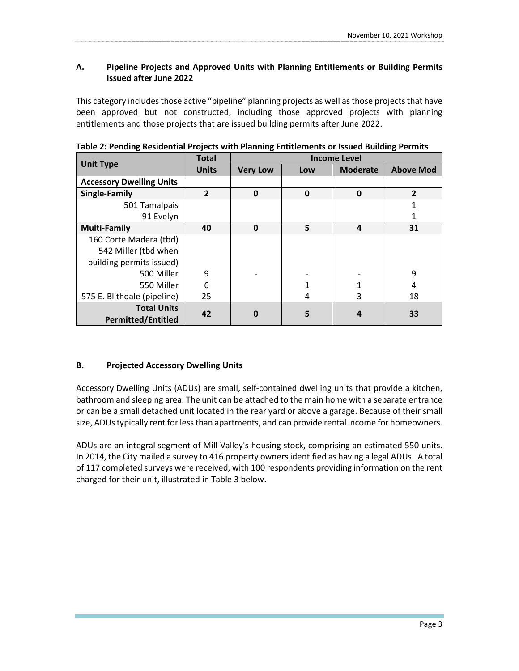#### **A. Pipeline Projects and Approved Units with Planning Entitlements or Building Permits Issued after June 2022**

This category includes those active "pipeline" planning projects as well as those projects that have been approved but not constructed, including those approved projects with planning entitlements and those projects that are issued building permits after June 2022.

|                                 | <b>Total</b>   | <b>Income Level</b> |     |                 |                  |  |
|---------------------------------|----------------|---------------------|-----|-----------------|------------------|--|
| <b>Unit Type</b>                | <b>Units</b>   | <b>Very Low</b>     | Low | <b>Moderate</b> | <b>Above Mod</b> |  |
| <b>Accessory Dwelling Units</b> |                |                     |     |                 |                  |  |
| <b>Single-Family</b>            | $\overline{2}$ | $\mathbf 0$         | 0   | 0               | $\overline{2}$   |  |
| 501 Tamalpais                   |                |                     |     |                 |                  |  |
| 91 Evelyn                       |                |                     |     |                 |                  |  |
| <b>Multi-Family</b>             | 40             | $\mathbf 0$         | 5   | 4               | 31               |  |
| 160 Corte Madera (tbd)          |                |                     |     |                 |                  |  |
| 542 Miller (tbd when            |                |                     |     |                 |                  |  |
| building permits issued)        |                |                     |     |                 |                  |  |
| 500 Miller                      | 9              |                     |     |                 | 9                |  |
| 550 Miller                      | 6              |                     |     |                 | 4                |  |
| 575 E. Blithdale (pipeline)     | 25             |                     | 4   | 3               | 18               |  |
| <b>Total Units</b>              | 42             | $\bf{0}$            | 5   |                 | 33               |  |
| <b>Permitted/Entitled</b>       |                |                     |     | 4               |                  |  |

**Table 2: Pending Residential Projects with Planning Entitlements or Issued Building Permits** 

#### **B. Projected Accessory Dwelling Units**

Accessory Dwelling Units (ADUs) are small, self-contained dwelling units that provide a kitchen, bathroom and sleeping area. The unit can be attached to the main home with a separate entrance or can be a small detached unit located in the rear yard or above a garage. Because of their small size, ADUs typically rent for less than apartments, and can provide rental income for homeowners.

ADUs are an integral segment of Mill Valley's housing stock, comprising an estimated 550 units. In 2014, the City mailed a survey to 416 property owners identified as having a legal ADUs. A total of 117 completed surveys were received, with 100 respondents providing information on the rent charged for their unit, illustrated in Table 3 below.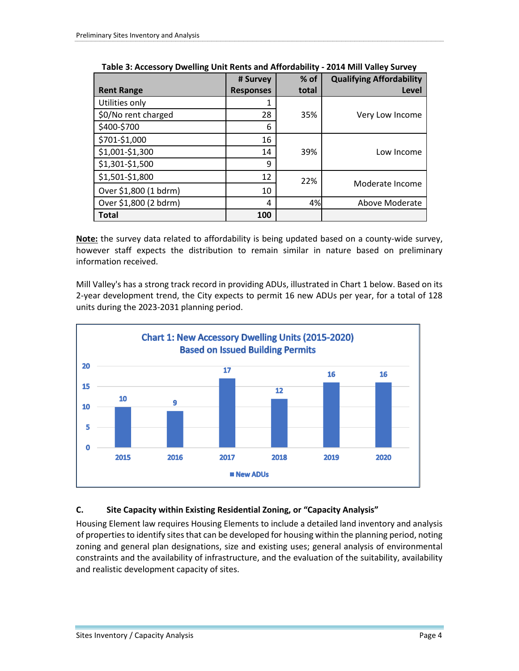|                       | # Survey         | $%$ of | <b>Qualifying Affordability</b> |
|-----------------------|------------------|--------|---------------------------------|
| <b>Rent Range</b>     | <b>Responses</b> | total  | Level                           |
| Utilities only        |                  |        |                                 |
| \$0/No rent charged   | 28               | 35%    | Very Low Income                 |
| \$400-\$700           | 6                |        |                                 |
| \$701-\$1,000         | 16               |        |                                 |
| \$1,001-\$1,300       | 14               | 39%    | Low Income                      |
| \$1,301-\$1,500       | 9                |        |                                 |
| \$1,501-\$1,800       | 12               | 22%    |                                 |
| Over \$1,800 (1 bdrm) | 10               |        | Moderate Income                 |
| Over \$1,800 (2 bdrm) | 4                | 4%     | Above Moderate                  |
| <b>Total</b>          | 100              |        |                                 |

**Table 3: Accessory Dwelling Unit Rents and Affordability - 2014 Mill Valley Survey**

**Note:** the survey data related to affordability is being updated based on a county-wide survey, however staff expects the distribution to remain similar in nature based on preliminary information received.

Mill Valley's has a strong track record in providing ADUs, illustrated in Chart 1 below. Based on its 2-year development trend, the City expects to permit 16 new ADUs per year, for a total of 128 units during the 2023-2031 planning period.



## **C. Site Capacity within Existing Residential Zoning, or "Capacity Analysis"**

Housing Element law requires Housing Elements to include a detailed land inventory and analysis of properties to identify sites that can be developed for housing within the planning period, noting zoning and general plan designations, size and existing uses; general analysis of environmental constraints and the availability of infrastructure, and the evaluation of the suitability, availability and realistic development capacity of sites.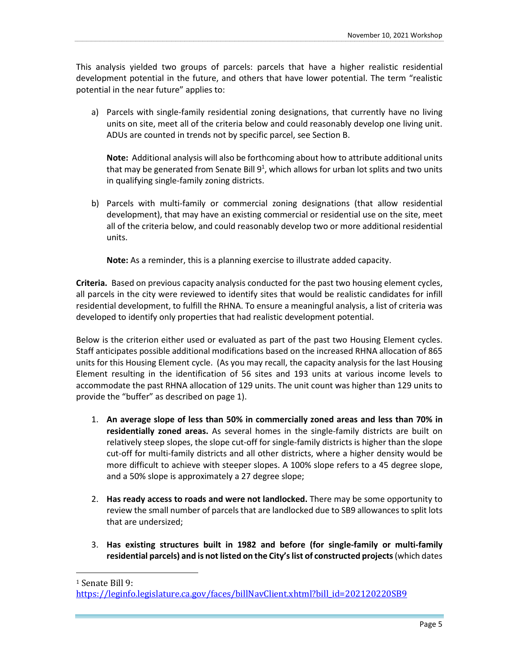This analysis yielded two groups of parcels: parcels that have a higher realistic residential development potential in the future, and others that have lower potential. The term "realistic potential in the near future" applies to:

a) Parcels with single-family residential zoning designations, that currently have no living units on site, meet all of the criteria below and could reasonably develop one living unit. ADUs are counted in trends not by specific parcel, see Section B.

**Note:** Additional analysis will also be forthcoming about how to attribute additional units that may be generated from Senate Bill  $9<sup>1</sup>$ , which allows for urban lot splits and two units in qualifying single-family zoning districts.

b) Parcels with multi-family or commercial zoning designations (that allow residential development), that may have an existing commercial or residential use on the site, meet all of the criteria below, and could reasonably develop two or more additional residential units.

**Note:** As a reminder, this is a planning exercise to illustrate added capacity.

**Criteria.** Based on previous capacity analysis conducted for the past two housing element cycles, all parcels in the city were reviewed to identify sites that would be realistic candidates for infill residential development, to fulfill the RHNA. To ensure a meaningful analysis, a list of criteria was developed to identify only properties that had realistic development potential.

Below is the criterion either used or evaluated as part of the past two Housing Element cycles. Staff anticipates possible additional modifications based on the increased RHNA allocation of 865 units for this Housing Element cycle. (As you may recall, the capacity analysis for the last Housing Element resulting in the identification of 56 sites and 193 units at various income levels to accommodate the past RHNA allocation of 129 units. The unit count was higher than 129 units to provide the "buffer" as described on page 1).

- 1. **An average slope of less than 50% in commercially zoned areas and less than 70% in residentially zoned areas.** As several homes in the single-family districts are built on relatively steep slopes, the slope cut-off for single-family districts is higher than the slope cut-off for multi-family districts and all other districts, where a higher density would be more difficult to achieve with steeper slopes. A 100% slope refers to a 45 degree slope, and a 50% slope is approximately a 27 degree slope;
- 2. **Has ready access to roads and were not landlocked.** There may be some opportunity to review the small number of parcels that are landlocked due to SB9 allowances to split lots that are undersized;
- 3. **Has existing structures built in 1982 and before (for single-family or multi-family residential parcels) and is not listed on the City's list of constructed projects** (which dates

<sup>1</sup> Senate Bill 9:

https://leginfo.legislature.ca.gov/faces/billNavClient.xhtml?bill\_id=202120220SB9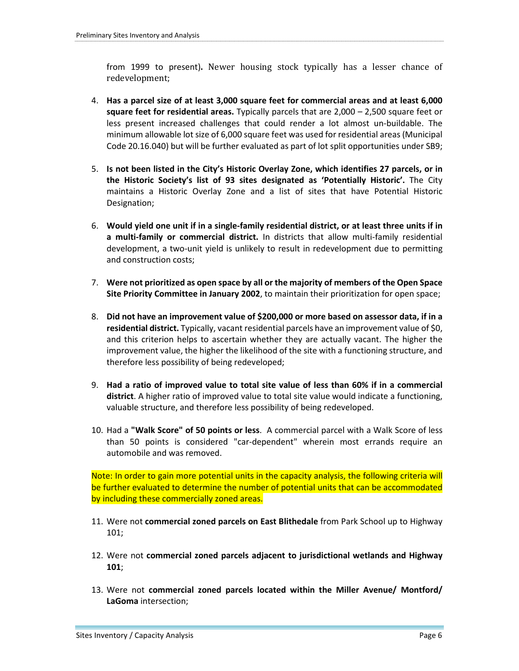from 1999 to present)**.** Newer housing stock typically has a lesser chance of redevelopment;

- 4. **Has a parcel size of at least 3,000 square feet for commercial areas and at least 6,000 square feet for residential areas.** Typically parcels that are 2,000 – 2,500 square feet or less present increased challenges that could render a lot almost un-buildable. The minimum allowable lot size of 6,000 square feet was used for residential areas (Municipal Code 20.16.040) but will be further evaluated as part of lot split opportunities under SB9;
- 5. **Is not been listed in the City's Historic Overlay Zone, which identifies 27 parcels, or in the Historic Society's list of 93 sites designated as 'Potentially Historic'.** The City maintains a Historic Overlay Zone and a list of sites that have Potential Historic Designation;
- 6. **Would yield one unit if in a single-family residential district, or at least three units if in a multi-family or commercial district.** In districts that allow multi-family residential development, a two-unit yield is unlikely to result in redevelopment due to permitting and construction costs;
- 7. **Were not prioritized as open space by all or the majority of members of the Open Space Site Priority Committee in January 2002**, to maintain their prioritization for open space;
- 8. **Did not have an improvement value of \$200,000 or more based on assessor data, if in a residential district.** Typically, vacant residential parcels have an improvement value of \$0, and this criterion helps to ascertain whether they are actually vacant. The higher the improvement value, the higher the likelihood of the site with a functioning structure, and therefore less possibility of being redeveloped;
- 9. **Had a ratio of improved value to total site value of less than 60% if in a commercial district**. A higher ratio of improved value to total site value would indicate a functioning, valuable structure, and therefore less possibility of being redeveloped.
- 10. Had a **"Walk Score" of 50 points or less**. A commercial parcel with a Walk Score of less than 50 points is considered "car-dependent" wherein most errands require an automobile and was removed.

Note: In order to gain more potential units in the capacity analysis, the following criteria will be further evaluated to determine the number of potential units that can be accommodated by including these commercially zoned areas.

- 11. Were not **commercial zoned parcels on East Blithedale** from Park School up to Highway 101;
- 12. Were not **commercial zoned parcels adjacent to jurisdictional wetlands and Highway 101**;
- 13. Were not **commercial zoned parcels located within the Miller Avenue/ Montford/ LaGoma** intersection;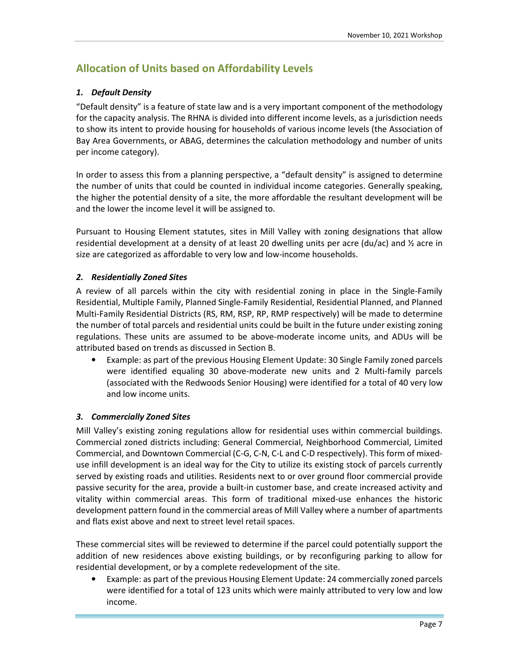# **Allocation of Units based on Affordability Levels**

#### *1. Default Density*

"Default density" is a feature of state law and is a very important component of the methodology for the capacity analysis. The RHNA is divided into different income levels, as a jurisdiction needs to show its intent to provide housing for households of various income levels (the Association of Bay Area Governments, or ABAG, determines the calculation methodology and number of units per income category).

In order to assess this from a planning perspective, a "default density" is assigned to determine the number of units that could be counted in individual income categories. Generally speaking, the higher the potential density of a site, the more affordable the resultant development will be and the lower the income level it will be assigned to.

Pursuant to Housing Element statutes, sites in Mill Valley with zoning designations that allow residential development at a density of at least 20 dwelling units per acre (du/ac) and ½ acre in size are categorized as affordable to very low and low-income households.

#### *2. Residentially Zoned Sites*

A review of all parcels within the city with residential zoning in place in the Single-Family Residential, Multiple Family, Planned Single-Family Residential, Residential Planned, and Planned Multi-Family Residential Districts (RS, RM, RSP, RP, RMP respectively) will be made to determine the number of total parcels and residential units could be built in the future under existing zoning regulations. These units are assumed to be above-moderate income units, and ADUs will be attributed based on trends as discussed in Section B.

• Example: as part of the previous Housing Element Update: 30 Single Family zoned parcels were identified equaling 30 above-moderate new units and 2 Multi-family parcels (associated with the Redwoods Senior Housing) were identified for a total of 40 very low and low income units.

#### *3. Commercially Zoned Sites*

Mill Valley's existing zoning regulations allow for residential uses within commercial buildings. Commercial zoned districts including: General Commercial, Neighborhood Commercial, Limited Commercial, and Downtown Commercial (C-G, C-N, C-L and C-D respectively). This form of mixeduse infill development is an ideal way for the City to utilize its existing stock of parcels currently served by existing roads and utilities. Residents next to or over ground floor commercial provide passive security for the area, provide a built-in customer base, and create increased activity and vitality within commercial areas. This form of traditional mixed-use enhances the historic development pattern found in the commercial areas of Mill Valley where a number of apartments and flats exist above and next to street level retail spaces.

These commercial sites will be reviewed to determine if the parcel could potentially support the addition of new residences above existing buildings, or by reconfiguring parking to allow for residential development, or by a complete redevelopment of the site.

• Example: as part of the previous Housing Element Update: 24 commercially zoned parcels were identified for a total of 123 units which were mainly attributed to very low and low income.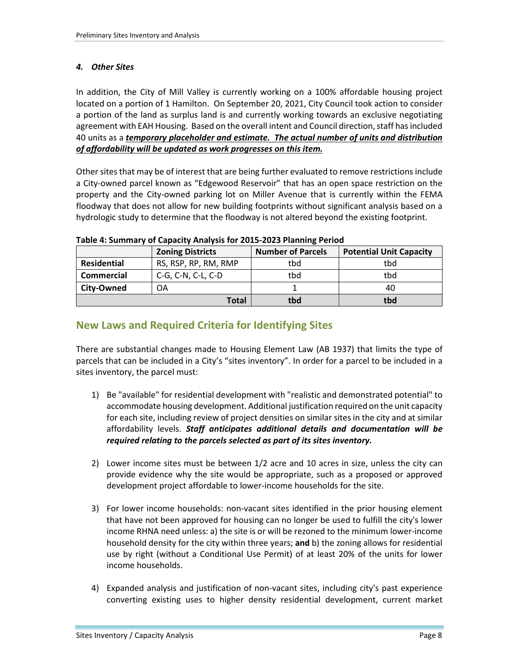#### *4. Other Sites*

In addition, the City of Mill Valley is currently working on a 100% affordable housing project located on a portion of 1 Hamilton. On September 20, 2021, City Council took action to consider a portion of the land as surplus land is and currently working towards an exclusive negotiating agreement with EAH Housing. Based on the overall intent and Council direction, staff has included 40 units as a *temporary placeholder and estimate. The actual number of units and distribution of affordability will be updated as work progresses on this item.*

Other sites that may be of interest that are being further evaluated to remove restrictions include a City-owned parcel known as "Edgewood Reservoir" that has an open space restriction on the property and the City-owned parking lot on Miller Avenue that is currently within the FEMA floodway that does not allow for new building footprints without significant analysis based on a hydrologic study to determine that the floodway is not altered beyond the existing footprint.

|             | <b>Zoning Districts</b> | <b>Number of Parcels</b> | <b>Potential Unit Capacity</b> |
|-------------|-------------------------|--------------------------|--------------------------------|
| Residential | RS, RSP, RP, RM, RMP    | tbd                      | tbd                            |
| Commercial  | C-G, C-N, C-L, C-D      | tbd                      | tbd                            |
| City-Owned  | OΑ                      |                          | 40                             |
|             | Total                   | tbd                      | tbd                            |

**Table 4: Summary of Capacity Analysis for 2015-2023 Planning Period** 

# **New Laws and Required Criteria for Identifying Sites**

There are substantial changes made to Housing Element Law (AB 1937) that limits the type of parcels that can be included in a City's "sites inventory". In order for a parcel to be included in a sites inventory, the parcel must:

- 1) Be "available" for residential development with "realistic and demonstrated potential" to accommodate housing development. Additional justification required on the unit capacity for each site, including review of project densities on similar sites in the city and at similar affordability levels. *Staff anticipates additional details and documentation will be required relating to the parcels selected as part of its sites inventory.*
- 2) Lower income sites must be between 1/2 acre and 10 acres in size, unless the city can provide evidence why the site would be appropriate, such as a proposed or approved development project affordable to lower-income households for the site.
- 3) For lower income households: non-vacant sites identified in the prior housing element that have not been approved for housing can no longer be used to fulfill the city's lower income RHNA need unless: a) the site is or will be rezoned to the minimum lower-income household density for the city within three years; **and** b) the zoning allows for residential use by right (without a Conditional Use Permit) of at least 20% of the units for lower income households.
- 4) Expanded analysis and justification of non-vacant sites, including city's past experience converting existing uses to higher density residential development, current market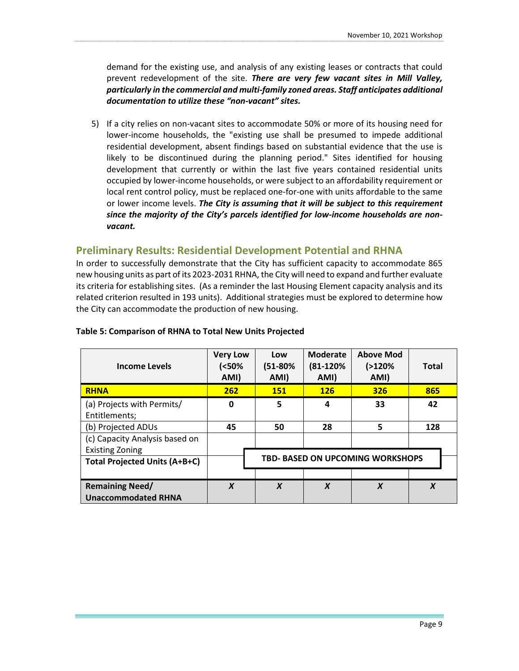demand for the existing use, and analysis of any existing leases or contracts that could prevent redevelopment of the site. *There are very few vacant sites in Mill Valley, particularly in the commercial and multi-family zoned areas. Staff anticipates additional documentation to utilize these "non-vacant" sites.*

5) If a city relies on non-vacant sites to accommodate 50% or more of its housing need for lower-income households, the "existing use shall be presumed to impede additional residential development, absent findings based on substantial evidence that the use is likely to be discontinued during the planning period." Sites identified for housing development that currently or within the last five years contained residential units occupied by lower-income households, or were subject to an affordability requirement or local rent control policy, must be replaced one-for-one with units affordable to the same or lower income levels. *The City is assuming that it will be subject to this requirement since the majority of the City's parcels identified for low-income households are nonvacant.*

## **Preliminary Results: Residential Development Potential and RHNA**

In order to successfully demonstrate that the City has sufficient capacity to accommodate 865 new housing units as part of its 2023-2031 RHNA, the City will need to expand and further evaluate its criteria for establishing sites. (As a reminder the last Housing Element capacity analysis and its related criterion resulted in 193 units). Additional strategies must be explored to determine how the City can accommodate the production of new housing.

| <b>Income Levels</b>                 | <b>Very Low</b><br>(50%<br>AMI)         | Low<br>(51-80%<br>AMI) | Moderate<br>(81-120%<br>AMI) | <b>Above Mod</b><br>(2120%<br>AMI) | <b>Total</b>     |  |
|--------------------------------------|-----------------------------------------|------------------------|------------------------------|------------------------------------|------------------|--|
| <b>RHNA</b>                          | 262                                     | <b>151</b>             | <b>126</b>                   | 326                                | 865              |  |
| (a) Projects with Permits/           | 0                                       | 5                      | 4                            | 33                                 | 42               |  |
| Entitlements;                        |                                         |                        |                              |                                    |                  |  |
| (b) Projected ADUs                   | 45                                      | 50                     | 28                           | 5                                  | 128              |  |
| (c) Capacity Analysis based on       |                                         |                        |                              |                                    |                  |  |
| <b>Existing Zoning</b>               |                                         |                        |                              |                                    |                  |  |
| <b>Total Projected Units (A+B+C)</b> | <b>TBD- BASED ON UPCOMING WORKSHOPS</b> |                        |                              |                                    |                  |  |
|                                      |                                         |                        |                              |                                    |                  |  |
| <b>Remaining Need/</b>               | $\boldsymbol{x}$                        | $\boldsymbol{x}$       | $\boldsymbol{x}$             | $\boldsymbol{x}$                   | $\boldsymbol{x}$ |  |
| <b>Unaccommodated RHNA</b>           |                                         |                        |                              |                                    |                  |  |

#### **Table 5: Comparison of RHNA to Total New Units Projected**